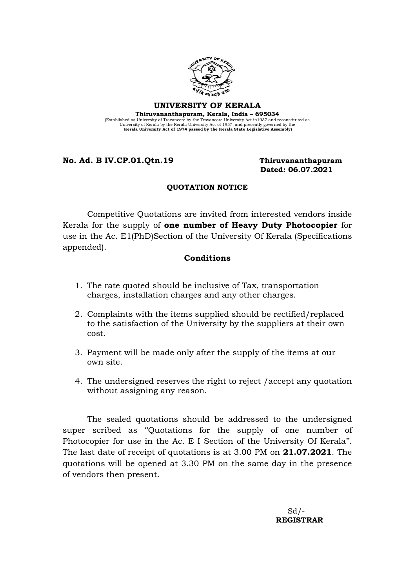

#### UNIVERSITY OF KERALA Thiruvananthapuram, Kerala, India – 695034 (Established as University of Travancore by the Travancore University Act in 1937 and reconstituted as University Act Scholar University Act of 1957 and presently governed by the Kerala University Act of 1974 passed by the

### No. Ad. B IV.CP.01.Qtn.19 Thiruvananthapuram

# Dated: 06.07.2021

#### QUOTATION NOTICE

Competitive Quotations are invited from interested vendors inside Kerala for the supply of one number of Heavy Duty Photocopier for use in the Ac. E1(PhD)Section of the University Of Kerala (Specifications appended).

#### Conditions

- 1. The rate quoted should be inclusive of Tax, transportation charges, installation charges and any other charges.
- 2. Complaints with the items supplied should be rectified/replaced to the satisfaction of the University by the suppliers at their own cost.
- 3. Payment will be made only after the supply of the items at our own site.
- 4. The undersigned reserves the right to reject /accept any quotation without assigning any reason.

The sealed quotations should be addressed to the undersigned super scribed as ''Quotations for the supply of one number of Photocopier for use in the Ac. E I Section of the University Of Kerala''. The last date of receipt of quotations is at 3.00 PM on **21.07.2021**. The quotations will be opened at 3.30 PM on the same day in the presence of vendors then present.

 $Sd/$ -REGISTRAR